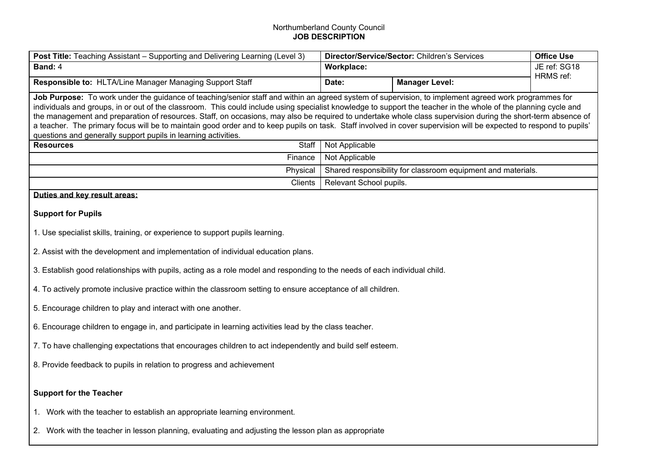## Northumberland County Council **JOB DESCRIPTION**

| Post Title: Teaching Assistant - Supporting and Delivering Learning (Level 3)                                                                                                                                                                                                                                                                                                                                                                                                                                                                                                                                                                                 | Director/Service/Sector: Children's Services                                   |                       | <b>Office Use</b>         |  |
|---------------------------------------------------------------------------------------------------------------------------------------------------------------------------------------------------------------------------------------------------------------------------------------------------------------------------------------------------------------------------------------------------------------------------------------------------------------------------------------------------------------------------------------------------------------------------------------------------------------------------------------------------------------|--------------------------------------------------------------------------------|-----------------------|---------------------------|--|
| Band: 4                                                                                                                                                                                                                                                                                                                                                                                                                                                                                                                                                                                                                                                       | Workplace:                                                                     |                       | JE ref: SG18<br>HRMS ref: |  |
| Responsible to: HLTA/Line Manager Managing Support Staff                                                                                                                                                                                                                                                                                                                                                                                                                                                                                                                                                                                                      | Date:                                                                          | <b>Manager Level:</b> |                           |  |
| Job Purpose: To work under the guidance of teaching/senior staff and within an agreed system of supervision, to implement agreed work programmes for<br>individuals and groups, in or out of the classroom. This could include using specialist knowledge to support the teacher in the whole of the planning cycle and<br>the management and preparation of resources. Staff, on occasions, may also be required to undertake whole class supervision during the short-term absence of<br>a teacher. The primary focus will be to maintain good order and to keep pupils on task. Staff involved in cover supervision will be expected to respond to pupils' |                                                                                |                       |                           |  |
| questions and generally support pupils in learning activities.                                                                                                                                                                                                                                                                                                                                                                                                                                                                                                                                                                                                |                                                                                |                       |                           |  |
| Staff<br><b>Resources</b><br>Finance                                                                                                                                                                                                                                                                                                                                                                                                                                                                                                                                                                                                                          | Not Applicable                                                                 |                       |                           |  |
| Physical                                                                                                                                                                                                                                                                                                                                                                                                                                                                                                                                                                                                                                                      | Not Applicable<br>Shared responsibility for classroom equipment and materials. |                       |                           |  |
| Clients                                                                                                                                                                                                                                                                                                                                                                                                                                                                                                                                                                                                                                                       | Relevant School pupils.                                                        |                       |                           |  |
| Duties and kev result areas:                                                                                                                                                                                                                                                                                                                                                                                                                                                                                                                                                                                                                                  |                                                                                |                       |                           |  |
| <b>Support for Pupils</b>                                                                                                                                                                                                                                                                                                                                                                                                                                                                                                                                                                                                                                     |                                                                                |                       |                           |  |
| 1. Use specialist skills, training, or experience to support pupils learning.                                                                                                                                                                                                                                                                                                                                                                                                                                                                                                                                                                                 |                                                                                |                       |                           |  |
| 2. Assist with the development and implementation of individual education plans.                                                                                                                                                                                                                                                                                                                                                                                                                                                                                                                                                                              |                                                                                |                       |                           |  |
| 3. Establish good relationships with pupils, acting as a role model and responding to the needs of each individual child.                                                                                                                                                                                                                                                                                                                                                                                                                                                                                                                                     |                                                                                |                       |                           |  |
| 4. To actively promote inclusive practice within the classroom setting to ensure acceptance of all children.                                                                                                                                                                                                                                                                                                                                                                                                                                                                                                                                                  |                                                                                |                       |                           |  |
| 5. Encourage children to play and interact with one another.                                                                                                                                                                                                                                                                                                                                                                                                                                                                                                                                                                                                  |                                                                                |                       |                           |  |
| 6. Encourage children to engage in, and participate in learning activities lead by the class teacher.                                                                                                                                                                                                                                                                                                                                                                                                                                                                                                                                                         |                                                                                |                       |                           |  |
| 7. To have challenging expectations that encourages children to act independently and build self esteem.                                                                                                                                                                                                                                                                                                                                                                                                                                                                                                                                                      |                                                                                |                       |                           |  |
| 8. Provide feedback to pupils in relation to progress and achievement                                                                                                                                                                                                                                                                                                                                                                                                                                                                                                                                                                                         |                                                                                |                       |                           |  |
| <b>Support for the Teacher</b>                                                                                                                                                                                                                                                                                                                                                                                                                                                                                                                                                                                                                                |                                                                                |                       |                           |  |
| 1. Work with the teacher to establish an appropriate learning environment.                                                                                                                                                                                                                                                                                                                                                                                                                                                                                                                                                                                    |                                                                                |                       |                           |  |
| 2. Work with the teacher in lesson planning, evaluating and adjusting the lesson plan as appropriate                                                                                                                                                                                                                                                                                                                                                                                                                                                                                                                                                          |                                                                                |                       |                           |  |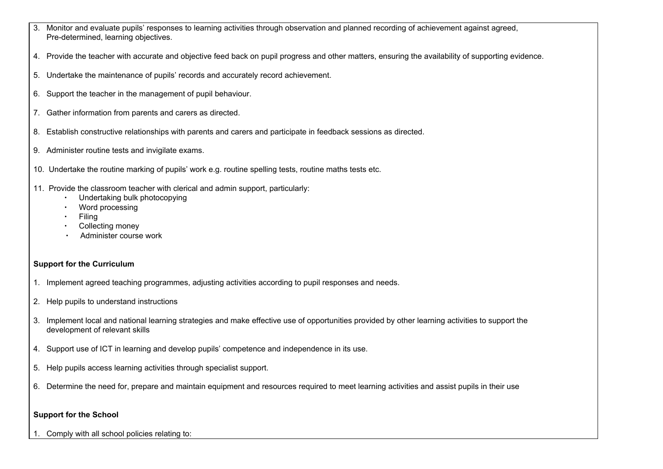- 3. Monitor and evaluate pupils' responses to learning activities through observation and planned recording of achievement against agreed, Pre-determined, learning objectives.
- 4. Provide the teacher with accurate and objective feed back on pupil progress and other matters, ensuring the availability of supporting evidence.
- 5. Undertake the maintenance of pupils' records and accurately record achievement.
- 6. Support the teacher in the management of pupil behaviour.
- 7. Gather information from parents and carers as directed.
- 8. Establish constructive relationships with parents and carers and participate in feedback sessions as directed.
- 9. Administer routine tests and invigilate exams.
- 10. Undertake the routine marking of pupils' work e.g. routine spelling tests, routine maths tests etc.
- 11. Provide the classroom teacher with clerical and admin support, particularly:
	- ∙ Undertaking bulk photocopying
	- ∙ Word processing
	- ∙ Filing
	- ∙ Collecting money
	- ∙ Administer course work

## **Support for the Curriculum**

- 1. Implement agreed teaching programmes, adjusting activities according to pupil responses and needs.
- 2. Help pupils to understand instructions
- 3. Implement local and national learning strategies and make effective use of opportunities provided by other learning activities to support the development of relevant skills
- 4. Support use of ICT in learning and develop pupils' competence and independence in its use.
- 5. Help pupils access learning activities through specialist support.
- 6. Determine the need for, prepare and maintain equipment and resources required to meet learning activities and assist pupils in their use

## **Support for the School**

1. Comply with all school policies relating to: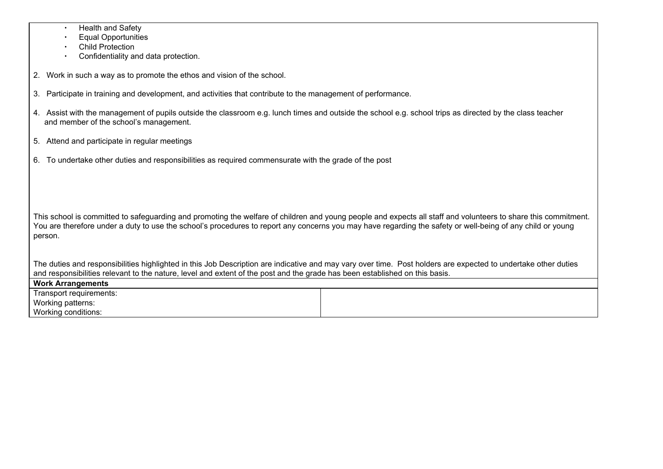|  | <b>Health and Safety</b> |  |
|--|--------------------------|--|
|--|--------------------------|--|

∙ Equal Opportunities

∙ Child Protection

∙ Confidentiality and data protection.

2. Work in such a way as to promote the ethos and vision of the school.

- 3. Participate in training and development, and activities that contribute to the management of performance.
- 4. Assist with the management of pupils outside the classroom e.g. lunch times and outside the school e.g. school trips as directed by the class teacher and member of the school's management.
- 5. Attend and participate in regular meetings
- 6. To undertake other duties and responsibilities as required commensurate with the grade of the post

This school is committed to safeguarding and promoting the welfare of children and young people and expects all staff and volunteers to share this commitment. You are therefore under a duty to use the school's procedures to report any concerns you may have regarding the safety or well-being of any child or young person.

The duties and responsibilities highlighted in this Job Description are indicative and may vary over time. Post holders are expected to undertake other duties and responsibilities relevant to the nature, level and extent of the post and the grade has been established on this basis. **Work Arrangements**

| Work Arrangements       |  |
|-------------------------|--|
| Transport requirements: |  |
| Working patterns:       |  |
| Working conditions:     |  |
|                         |  |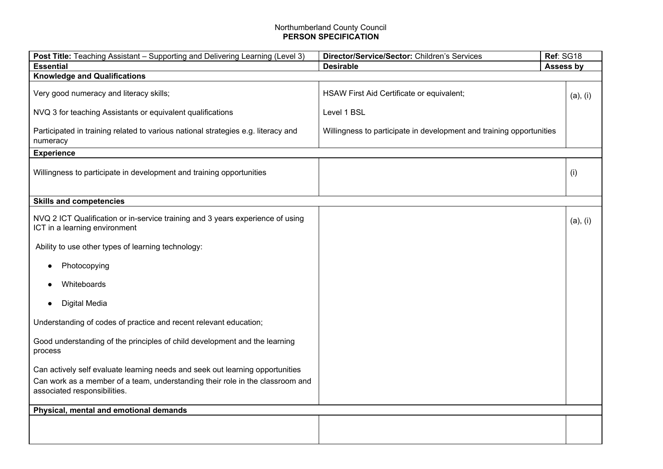## Northumberland County Council **PERSON SPECIFICATION**

| Post Title: Teaching Assistant - Supporting and Delivering Learning (Level 3)                                   | Ref: SG18<br>Director/Service/Sector: Children's Services            |           |  |  |
|-----------------------------------------------------------------------------------------------------------------|----------------------------------------------------------------------|-----------|--|--|
| <b>Essential</b>                                                                                                | <b>Desirable</b>                                                     | Assess by |  |  |
| <b>Knowledge and Qualifications</b>                                                                             |                                                                      |           |  |  |
| Very good numeracy and literacy skills;                                                                         | HSAW First Aid Certificate or equivalent;                            | (a), (i)  |  |  |
| NVQ 3 for teaching Assistants or equivalent qualifications                                                      | Level 1 BSL                                                          |           |  |  |
| Participated in training related to various national strategies e.g. literacy and<br>numeracy                   | Willingness to participate in development and training opportunities |           |  |  |
| <b>Experience</b>                                                                                               |                                                                      |           |  |  |
| Willingness to participate in development and training opportunities                                            |                                                                      | (i)       |  |  |
| <b>Skills and competencies</b>                                                                                  |                                                                      |           |  |  |
| NVQ 2 ICT Qualification or in-service training and 3 years experience of using<br>ICT in a learning environment |                                                                      | (a), (i)  |  |  |
| Ability to use other types of learning technology:                                                              |                                                                      |           |  |  |
| Photocopying                                                                                                    |                                                                      |           |  |  |
| Whiteboards                                                                                                     |                                                                      |           |  |  |
| Digital Media                                                                                                   |                                                                      |           |  |  |
| Understanding of codes of practice and recent relevant education;                                               |                                                                      |           |  |  |
| Good understanding of the principles of child development and the learning<br>process                           |                                                                      |           |  |  |
| Can actively self evaluate learning needs and seek out learning opportunities                                   |                                                                      |           |  |  |
| Can work as a member of a team, understanding their role in the classroom and<br>associated responsibilities.   |                                                                      |           |  |  |
| Physical, mental and emotional demands                                                                          |                                                                      |           |  |  |
|                                                                                                                 |                                                                      |           |  |  |